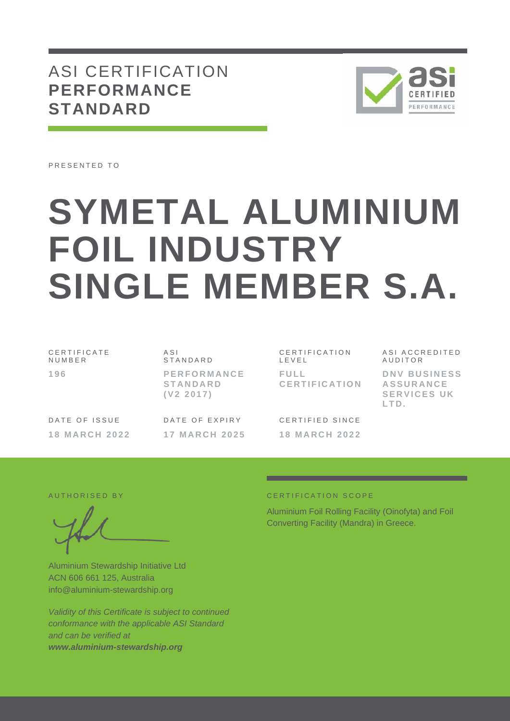## ASI CERTIFICATION **PERFORMANCE STANDARD**



PRESENTED TO

# **SYMETAL ALUMINIUM FOIL INDUSTRY SINGLE MEMBER S.A.**

C E R T I F I C A T E N U M B E R **1 9 6**

A S I **STANDARD P E R F O R M A N C E S T A N D A R D ( V 2 2 0 1 7 )**

C E R T I F I C A T I O N L E V E L **F U L L C E R T I F I C A T I O N**

DATE OF ISSUE **1 8 M A R C H 2 0 2 2**

DATE OF EXPIRY **1 7 M A R C H 2 0 2 5**

CERTIFIED SINCE **1 8 M A R C H 2 0 2 2** A S I A C C R E D I T E D **AUDITOR DNV BUSINESS A S S U R A N C E** 

**SERVICES UK L T D .**

AUTHORISED BY

Aluminium Stewardship Initiative Ltd ACN 606 661 125, Australia info@aluminium-stewardship.org

*Validity of this Certificate is subject to continued conformance with the applicable ASI Standard and can be verified at www.aluminium-stewardship.org*

#### CERTIFICATION SCOPE

Aluminium Foil Rolling Facility (Oinofyta) and Foil Converting Facility (Mandra) in Greece.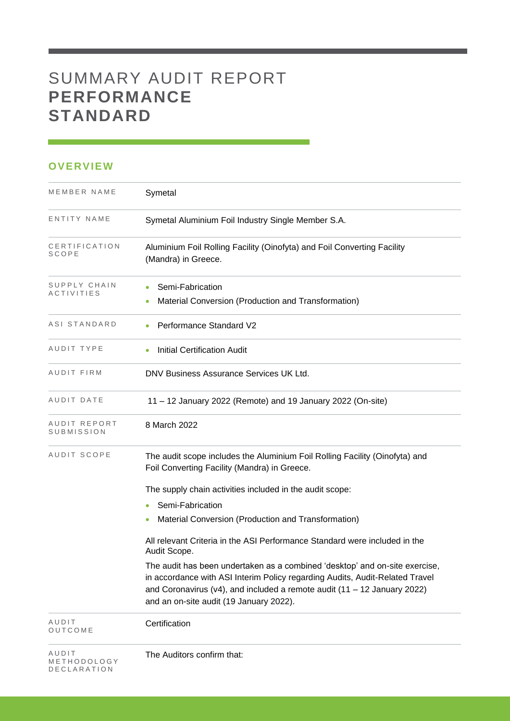# SUMMARY AUDIT REPORT **PERFORMANCE STANDARD**

### **OVERVIEW**

| MEMBER NAME                         | Symetal                                                                                                                                                                                                                                                                                   |
|-------------------------------------|-------------------------------------------------------------------------------------------------------------------------------------------------------------------------------------------------------------------------------------------------------------------------------------------|
| ENTITY NAME                         | Symetal Aluminium Foil Industry Single Member S.A.                                                                                                                                                                                                                                        |
| CERTIFICATION<br>SCOPE              | Aluminium Foil Rolling Facility (Oinofyta) and Foil Converting Facility<br>(Mandra) in Greece.                                                                                                                                                                                            |
| SUPPLY CHAIN<br><b>ACTIVITIES</b>   | Semi-Fabrication<br>Material Conversion (Production and Transformation)                                                                                                                                                                                                                   |
| ASI STANDARD                        | <b>Performance Standard V2</b>                                                                                                                                                                                                                                                            |
| AUDIT TYPE                          | <b>Initial Certification Audit</b>                                                                                                                                                                                                                                                        |
| AUDIT FIRM                          | DNV Business Assurance Services UK Ltd.                                                                                                                                                                                                                                                   |
| AUDIT DATE                          | 11 – 12 January 2022 (Remote) and 19 January 2022 (On-site)                                                                                                                                                                                                                               |
| AUDIT REPORT<br>SUBMISSION          | 8 March 2022                                                                                                                                                                                                                                                                              |
| AUDIT SCOPE                         | The audit scope includes the Aluminium Foil Rolling Facility (Oinofyta) and<br>Foil Converting Facility (Mandra) in Greece.                                                                                                                                                               |
|                                     | The supply chain activities included in the audit scope:                                                                                                                                                                                                                                  |
|                                     | Semi-Fabrication                                                                                                                                                                                                                                                                          |
|                                     | Material Conversion (Production and Transformation)                                                                                                                                                                                                                                       |
|                                     | All relevant Criteria in the ASI Performance Standard were included in the<br>Audit Scope.                                                                                                                                                                                                |
|                                     | The audit has been undertaken as a combined 'desktop' and on-site exercise,<br>in accordance with ASI Interim Policy regarding Audits, Audit-Related Travel<br>and Coronavirus ( $v4$ ), and included a remote audit ( $11 - 12$ January 2022)<br>and an on-site audit (19 January 2022). |
| AUDIT<br>OUTCOME                    | Certification                                                                                                                                                                                                                                                                             |
| AUDIT<br>METHODOLOGY<br>DECLARATION | The Auditors confirm that:                                                                                                                                                                                                                                                                |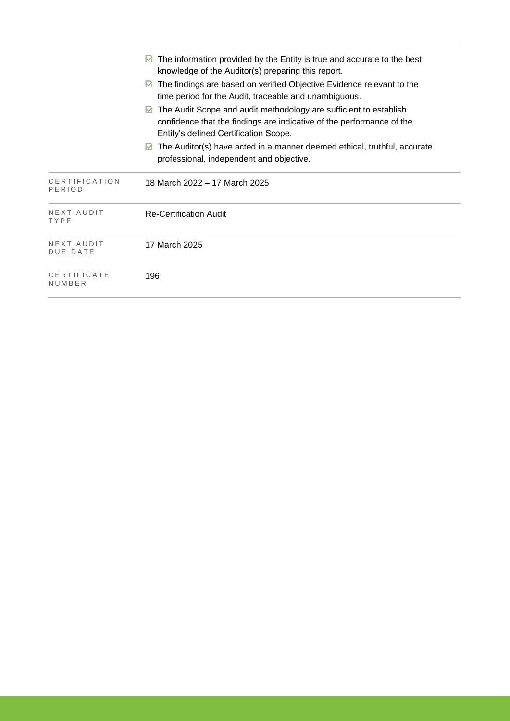|                               | The information provided by the Entity is true and accurate to the best<br>$\vee$<br>knowledge of the Auditor(s) preparing this report.                                                       |
|-------------------------------|-----------------------------------------------------------------------------------------------------------------------------------------------------------------------------------------------|
|                               | The findings are based on verified Objective Evidence relevant to the<br>$\vee$<br>time period for the Audit, traceable and unambiguous.                                                      |
|                               | The Audit Scope and audit methodology are sufficient to establish<br>$\vee$<br>confidence that the findings are indicative of the performance of the<br>Entity's defined Certification Scope. |
|                               | The Auditor(s) have acted in a manner deemed ethical, truthful, accurate<br>$\vee$<br>professional, independent and objective.                                                                |
| CERTIFICATION<br>PERIOD       | 18 March 2022 - 17 March 2025                                                                                                                                                                 |
| NEXT AUDIT<br>TYPE            | <b>Re-Certification Audit</b>                                                                                                                                                                 |
| NEXT AUDIT<br><b>DUE DATE</b> | 17 March 2025                                                                                                                                                                                 |
| CERTIFICATE<br>NUMBER         | 196                                                                                                                                                                                           |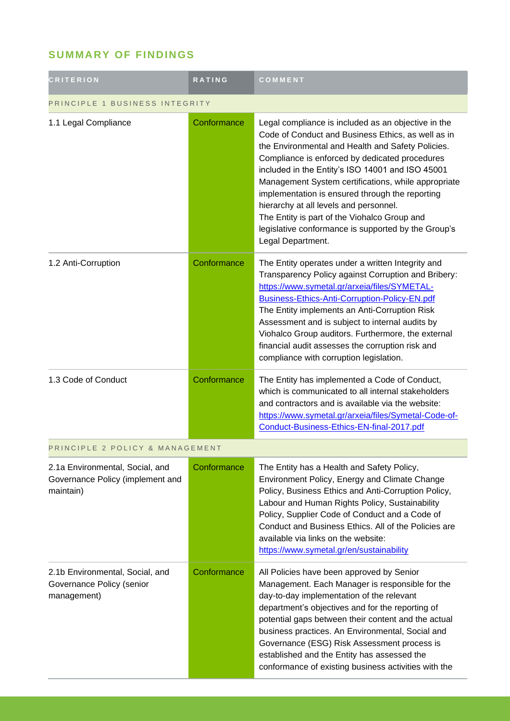## **SUMMARY OF FINDINGS**

| <b>CRITERION</b>                                                                 | <b>RATING</b> | COMMENT                                                                                                                                                                                                                                                                                                                                                                                                                                                                                                                                              |  |
|----------------------------------------------------------------------------------|---------------|------------------------------------------------------------------------------------------------------------------------------------------------------------------------------------------------------------------------------------------------------------------------------------------------------------------------------------------------------------------------------------------------------------------------------------------------------------------------------------------------------------------------------------------------------|--|
| PRINCIPLE 1 BUSINESS INTEGRITY                                                   |               |                                                                                                                                                                                                                                                                                                                                                                                                                                                                                                                                                      |  |
| 1.1 Legal Compliance                                                             | Conformance   | Legal compliance is included as an objective in the<br>Code of Conduct and Business Ethics, as well as in<br>the Environmental and Health and Safety Policies.<br>Compliance is enforced by dedicated procedures<br>included in the Entity's ISO 14001 and ISO 45001<br>Management System certifications, while appropriate<br>implementation is ensured through the reporting<br>hierarchy at all levels and personnel.<br>The Entity is part of the Viohalco Group and<br>legislative conformance is supported by the Group's<br>Legal Department. |  |
| 1.2 Anti-Corruption                                                              | Conformance   | The Entity operates under a written Integrity and<br>Transparency Policy against Corruption and Bribery:<br>https://www.symetal.gr/arxeia/files/SYMETAL-<br>Business-Ethics-Anti-Corruption-Policy-EN.pdf<br>The Entity implements an Anti-Corruption Risk<br>Assessment and is subject to internal audits by<br>Viohalco Group auditors. Furthermore, the external<br>financial audit assesses the corruption risk and<br>compliance with corruption legislation.                                                                                   |  |
| 1.3 Code of Conduct                                                              | Conformance   | The Entity has implemented a Code of Conduct,<br>which is communicated to all internal stakeholders<br>and contractors and is available via the website:<br>https://www.symetal.gr/arxeia/files/Symetal-Code-of-<br>Conduct-Business-Ethics-EN-final-2017.pdf                                                                                                                                                                                                                                                                                        |  |
| PRINCIPLE 2 POLICY & MANAGEMENT                                                  |               |                                                                                                                                                                                                                                                                                                                                                                                                                                                                                                                                                      |  |
| 2.1a Environmental, Social, and<br>Governance Policy (implement and<br>maintain) | Conformance   | The Entity has a Health and Safety Policy,<br>Environment Policy, Energy and Climate Change<br>Policy, Business Ethics and Anti-Corruption Policy,<br>Labour and Human Rights Policy, Sustainability<br>Policy, Supplier Code of Conduct and a Code of<br>Conduct and Business Ethics. All of the Policies are<br>available via links on the website:<br>https://www.symetal.gr/en/sustainability                                                                                                                                                    |  |
| 2.1b Environmental, Social, and<br>Governance Policy (senior<br>management)      | Conformance   | All Policies have been approved by Senior<br>Management. Each Manager is responsible for the<br>day-to-day implementation of the relevant<br>department's objectives and for the reporting of<br>potential gaps between their content and the actual<br>business practices. An Environmental, Social and<br>Governance (ESG) Risk Assessment process is<br>established and the Entity has assessed the<br>conformance of existing business activities with the                                                                                       |  |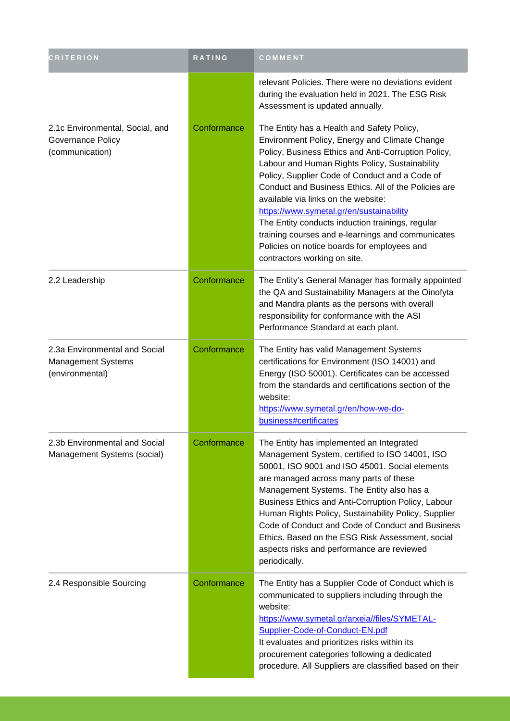| <b>CRITERION</b>                                                              | RATING      | COMMENT                                                                                                                                                                                                                                                                                                                                                                                                                                                                                                                                                                                   |
|-------------------------------------------------------------------------------|-------------|-------------------------------------------------------------------------------------------------------------------------------------------------------------------------------------------------------------------------------------------------------------------------------------------------------------------------------------------------------------------------------------------------------------------------------------------------------------------------------------------------------------------------------------------------------------------------------------------|
|                                                                               |             | relevant Policies. There were no deviations evident<br>during the evaluation held in 2021. The ESG Risk<br>Assessment is updated annually.                                                                                                                                                                                                                                                                                                                                                                                                                                                |
| 2.1c Environmental, Social, and<br>Governance Policy<br>(communication)       | Conformance | The Entity has a Health and Safety Policy,<br>Environment Policy, Energy and Climate Change<br>Policy, Business Ethics and Anti-Corruption Policy,<br>Labour and Human Rights Policy, Sustainability<br>Policy, Supplier Code of Conduct and a Code of<br>Conduct and Business Ethics. All of the Policies are<br>available via links on the website:<br>https://www.symetal.gr/en/sustainability<br>The Entity conducts induction trainings, regular<br>training courses and e-learnings and communicates<br>Policies on notice boards for employees and<br>contractors working on site. |
| 2.2 Leadership                                                                | Conformance | The Entity's General Manager has formally appointed<br>the QA and Sustainability Managers at the Oinofyta<br>and Mandra plants as the persons with overall<br>responsibility for conformance with the ASI<br>Performance Standard at each plant.                                                                                                                                                                                                                                                                                                                                          |
| 2.3a Environmental and Social<br><b>Management Systems</b><br>(environmental) | Conformance | The Entity has valid Management Systems<br>certifications for Environment (ISO 14001) and<br>Energy (ISO 50001). Certificates can be accessed<br>from the standards and certifications section of the<br>website:<br>https://www.symetal.gr/en/how-we-do-<br>business#certificates                                                                                                                                                                                                                                                                                                        |
| 2.3b Environmental and Social<br>Management Systems (social)                  | Conformance | The Entity has implemented an Integrated<br>Management System, certified to ISO 14001, ISO<br>50001, ISO 9001 and ISO 45001. Social elements<br>are managed across many parts of these<br>Management Systems. The Entity also has a<br>Business Ethics and Anti-Corruption Policy, Labour<br>Human Rights Policy, Sustainability Policy, Supplier<br>Code of Conduct and Code of Conduct and Business<br>Ethics. Based on the ESG Risk Assessment, social<br>aspects risks and performance are reviewed<br>periodically.                                                                  |
| 2.4 Responsible Sourcing                                                      | Conformance | The Entity has a Supplier Code of Conduct which is<br>communicated to suppliers including through the<br>website:<br>https://www.symetal.gr/arxeia//files/SYMETAL-<br>Supplier-Code-of-Conduct-EN.pdf<br>It evaluates and prioritizes risks within its<br>procurement categories following a dedicated<br>procedure. All Suppliers are classified based on their                                                                                                                                                                                                                          |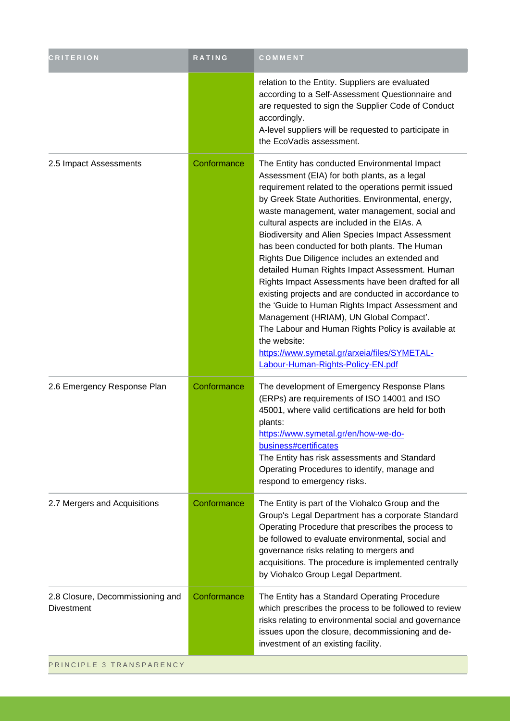| relation to the Entity. Suppliers are evaluated<br>according to a Self-Assessment Questionnaire and<br>are requested to sign the Supplier Code of Conduct<br>accordingly.<br>A-level suppliers will be requested to participate in<br>the EcoVadis assessment.<br>2.5 Impact Assessments<br>Conformance<br>The Entity has conducted Environmental Impact<br>Assessment (EIA) for both plants, as a legal<br>requirement related to the operations permit issued<br>by Greek State Authorities. Environmental, energy,<br>waste management, water management, social and<br>cultural aspects are included in the EIAs. A<br>Biodiversity and Alien Species Impact Assessment<br>has been conducted for both plants. The Human<br>Rights Due Diligence includes an extended and<br>detailed Human Rights Impact Assessment. Human<br>Rights Impact Assessments have been drafted for all<br>existing projects and are conducted in accordance to<br>the 'Guide to Human Rights Impact Assessment and<br>Management (HRIAM), UN Global Compact'.<br>The Labour and Human Rights Policy is available at<br>the website:<br>https://www.symetal.gr/arxeia/files/SYMETAL-<br>Labour-Human-Rights-Policy-EN.pdf<br>The development of Emergency Response Plans<br>2.6 Emergency Response Plan<br>Conformance<br>(ERPs) are requirements of ISO 14001 and ISO<br>45001, where valid certifications are held for both<br>plants:<br>https://www.symetal.gr/en/how-we-do-<br>business#certificates<br>The Entity has risk assessments and Standard<br>Operating Procedures to identify, manage and<br>respond to emergency risks.<br>2.7 Mergers and Acquisitions<br>Conformance<br>The Entity is part of the Viohalco Group and the<br>Group's Legal Department has a corporate Standard<br>Operating Procedure that prescribes the process to<br>be followed to evaluate environmental, social and<br>governance risks relating to mergers and<br>acquisitions. The procedure is implemented centrally<br>by Viohalco Group Legal Department.<br>2.8 Closure, Decommissioning and<br>Conformance<br>The Entity has a Standard Operating Procedure<br>which prescribes the process to be followed to review<br><b>Divestment</b><br>risks relating to environmental social and governance<br>issues upon the closure, decommissioning and de-<br>investment of an existing facility. | <b>CRITERION</b> | RATING | COMMENT |
|-----------------------------------------------------------------------------------------------------------------------------------------------------------------------------------------------------------------------------------------------------------------------------------------------------------------------------------------------------------------------------------------------------------------------------------------------------------------------------------------------------------------------------------------------------------------------------------------------------------------------------------------------------------------------------------------------------------------------------------------------------------------------------------------------------------------------------------------------------------------------------------------------------------------------------------------------------------------------------------------------------------------------------------------------------------------------------------------------------------------------------------------------------------------------------------------------------------------------------------------------------------------------------------------------------------------------------------------------------------------------------------------------------------------------------------------------------------------------------------------------------------------------------------------------------------------------------------------------------------------------------------------------------------------------------------------------------------------------------------------------------------------------------------------------------------------------------------------------------------------------------------------------------------------------------------------------------------------------------------------------------------------------------------------------------------------------------------------------------------------------------------------------------------------------------------------------------------------------------------------------------------------------------------------------------------------------------------------------------------------------------|------------------|--------|---------|
|                                                                                                                                                                                                                                                                                                                                                                                                                                                                                                                                                                                                                                                                                                                                                                                                                                                                                                                                                                                                                                                                                                                                                                                                                                                                                                                                                                                                                                                                                                                                                                                                                                                                                                                                                                                                                                                                                                                                                                                                                                                                                                                                                                                                                                                                                                                                                                             |                  |        |         |
|                                                                                                                                                                                                                                                                                                                                                                                                                                                                                                                                                                                                                                                                                                                                                                                                                                                                                                                                                                                                                                                                                                                                                                                                                                                                                                                                                                                                                                                                                                                                                                                                                                                                                                                                                                                                                                                                                                                                                                                                                                                                                                                                                                                                                                                                                                                                                                             |                  |        |         |
|                                                                                                                                                                                                                                                                                                                                                                                                                                                                                                                                                                                                                                                                                                                                                                                                                                                                                                                                                                                                                                                                                                                                                                                                                                                                                                                                                                                                                                                                                                                                                                                                                                                                                                                                                                                                                                                                                                                                                                                                                                                                                                                                                                                                                                                                                                                                                                             |                  |        |         |
|                                                                                                                                                                                                                                                                                                                                                                                                                                                                                                                                                                                                                                                                                                                                                                                                                                                                                                                                                                                                                                                                                                                                                                                                                                                                                                                                                                                                                                                                                                                                                                                                                                                                                                                                                                                                                                                                                                                                                                                                                                                                                                                                                                                                                                                                                                                                                                             |                  |        |         |
|                                                                                                                                                                                                                                                                                                                                                                                                                                                                                                                                                                                                                                                                                                                                                                                                                                                                                                                                                                                                                                                                                                                                                                                                                                                                                                                                                                                                                                                                                                                                                                                                                                                                                                                                                                                                                                                                                                                                                                                                                                                                                                                                                                                                                                                                                                                                                                             |                  |        |         |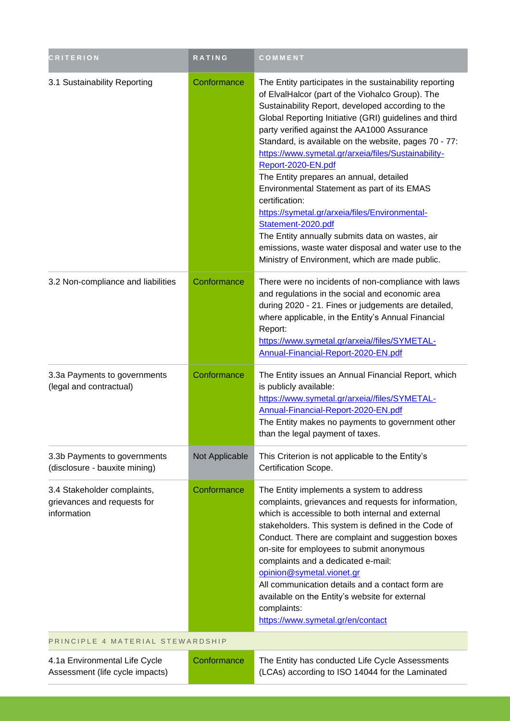| <b>CRITERION</b>                                                          | RATING         | COMMENT                                                                                                                                                                                                                                                                                                                                                                                                                                                                                                                                                                                                                                                                                                                                                           |
|---------------------------------------------------------------------------|----------------|-------------------------------------------------------------------------------------------------------------------------------------------------------------------------------------------------------------------------------------------------------------------------------------------------------------------------------------------------------------------------------------------------------------------------------------------------------------------------------------------------------------------------------------------------------------------------------------------------------------------------------------------------------------------------------------------------------------------------------------------------------------------|
| 3.1 Sustainability Reporting                                              | Conformance    | The Entity participates in the sustainability reporting<br>of ElvalHalcor (part of the Viohalco Group). The<br>Sustainability Report, developed according to the<br>Global Reporting Initiative (GRI) guidelines and third<br>party verified against the AA1000 Assurance<br>Standard, is available on the website, pages 70 - 77:<br>https://www.symetal.gr/arxeia/files/Sustainability-<br>Report-2020-EN.pdf<br>The Entity prepares an annual, detailed<br>Environmental Statement as part of its EMAS<br>certification:<br>https://symetal.gr/arxeia/files/Environmental-<br>Statement-2020.pdf<br>The Entity annually submits data on wastes, air<br>emissions, waste water disposal and water use to the<br>Ministry of Environment, which are made public. |
| 3.2 Non-compliance and liabilities                                        | Conformance    | There were no incidents of non-compliance with laws<br>and regulations in the social and economic area<br>during 2020 - 21. Fines or judgements are detailed,<br>where applicable, in the Entity's Annual Financial<br>Report:<br>https://www.symetal.gr/arxeia//files/SYMETAL-<br>Annual-Financial-Report-2020-EN.pdf                                                                                                                                                                                                                                                                                                                                                                                                                                            |
| 3.3a Payments to governments<br>(legal and contractual)                   | Conformance    | The Entity issues an Annual Financial Report, which<br>is publicly available:<br>https://www.symetal.gr/arxeia//files/SYMETAL-<br>Annual-Financial-Report-2020-EN.pdf<br>The Entity makes no payments to government other<br>than the legal payment of taxes.                                                                                                                                                                                                                                                                                                                                                                                                                                                                                                     |
| 3.3b Payments to governments<br>(disclosure - bauxite mining)             | Not Applicable | This Criterion is not applicable to the Entity's<br>Certification Scope.                                                                                                                                                                                                                                                                                                                                                                                                                                                                                                                                                                                                                                                                                          |
| 3.4 Stakeholder complaints,<br>grievances and requests for<br>information | Conformance    | The Entity implements a system to address<br>complaints, grievances and requests for information,<br>which is accessible to both internal and external<br>stakeholders. This system is defined in the Code of<br>Conduct. There are complaint and suggestion boxes<br>on-site for employees to submit anonymous<br>complaints and a dedicated e-mail:<br>opinion@symetal.vionet.gr<br>All communication details and a contact form are<br>available on the Entity's website for external<br>complaints:<br>https://www.symetal.gr/en/contact                                                                                                                                                                                                                      |
| PRINCIPLE 4 MATERIAL STEWARDSHIP                                          |                |                                                                                                                                                                                                                                                                                                                                                                                                                                                                                                                                                                                                                                                                                                                                                                   |
| 4.1a Environmental Life Cycle<br>Assessment (life cycle impacts)          | Conformance    | The Entity has conducted Life Cycle Assessments<br>(LCAs) according to ISO 14044 for the Laminated                                                                                                                                                                                                                                                                                                                                                                                                                                                                                                                                                                                                                                                                |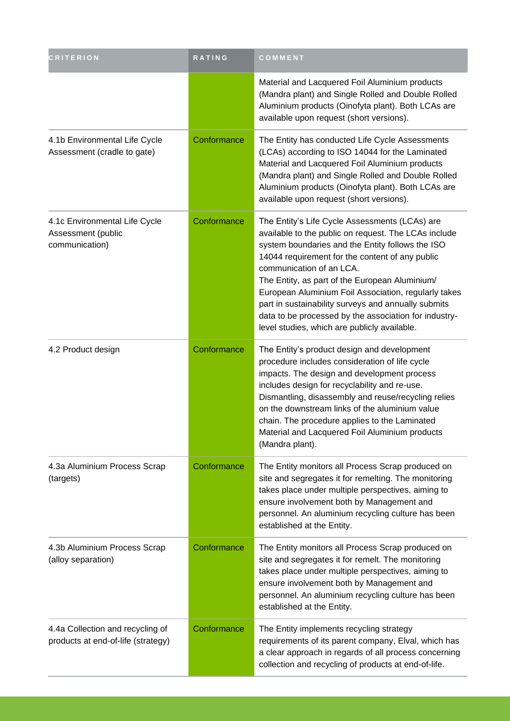| <b>CRITERION</b>                                                       | RATING      | COMMENT                                                                                                                                                                                                                                                                                                                                                                                                                                                                                                             |
|------------------------------------------------------------------------|-------------|---------------------------------------------------------------------------------------------------------------------------------------------------------------------------------------------------------------------------------------------------------------------------------------------------------------------------------------------------------------------------------------------------------------------------------------------------------------------------------------------------------------------|
|                                                                        |             | Material and Lacquered Foil Aluminium products<br>(Mandra plant) and Single Rolled and Double Rolled<br>Aluminium products (Oinofyta plant). Both LCAs are<br>available upon request (short versions).                                                                                                                                                                                                                                                                                                              |
| 4.1b Environmental Life Cycle<br>Assessment (cradle to gate)           | Conformance | The Entity has conducted Life Cycle Assessments<br>(LCAs) according to ISO 14044 for the Laminated<br>Material and Lacquered Foil Aluminium products<br>(Mandra plant) and Single Rolled and Double Rolled<br>Aluminium products (Oinofyta plant). Both LCAs are<br>available upon request (short versions).                                                                                                                                                                                                        |
| 4.1c Environmental Life Cycle<br>Assessment (public<br>communication)  | Conformance | The Entity's Life Cycle Assessments (LCAs) are<br>available to the public on request. The LCAs include<br>system boundaries and the Entity follows the ISO<br>14044 requirement for the content of any public<br>communication of an LCA.<br>The Entity, as part of the European Aluminium/<br>European Aluminium Foil Association, regularly takes<br>part in sustainability surveys and annually submits<br>data to be processed by the association for industry-<br>level studies, which are publicly available. |
| 4.2 Product design                                                     | Conformance | The Entity's product design and development<br>procedure includes consideration of life cycle<br>impacts. The design and development process<br>includes design for recyclability and re-use.<br>Dismantling, disassembly and reuse/recycling relies<br>on the downstream links of the aluminium value<br>chain. The procedure applies to the Laminated<br>Material and Lacquered Foil Aluminium products<br>(Mandra plant).                                                                                        |
| 4.3a Aluminium Process Scrap<br>(targets)                              | Conformance | The Entity monitors all Process Scrap produced on<br>site and segregates it for remelting. The monitoring<br>takes place under multiple perspectives, aiming to<br>ensure involvement both by Management and<br>personnel. An aluminium recycling culture has been<br>established at the Entity.                                                                                                                                                                                                                    |
| 4.3b Aluminium Process Scrap<br>(alloy separation)                     | Conformance | The Entity monitors all Process Scrap produced on<br>site and segregates it for remelt. The monitoring<br>takes place under multiple perspectives, aiming to<br>ensure involvement both by Management and<br>personnel. An aluminium recycling culture has been<br>established at the Entity.                                                                                                                                                                                                                       |
| 4.4a Collection and recycling of<br>products at end-of-life (strategy) | Conformance | The Entity implements recycling strategy<br>requirements of its parent company, Elval, which has<br>a clear approach in regards of all process concerning<br>collection and recycling of products at end-of-life.                                                                                                                                                                                                                                                                                                   |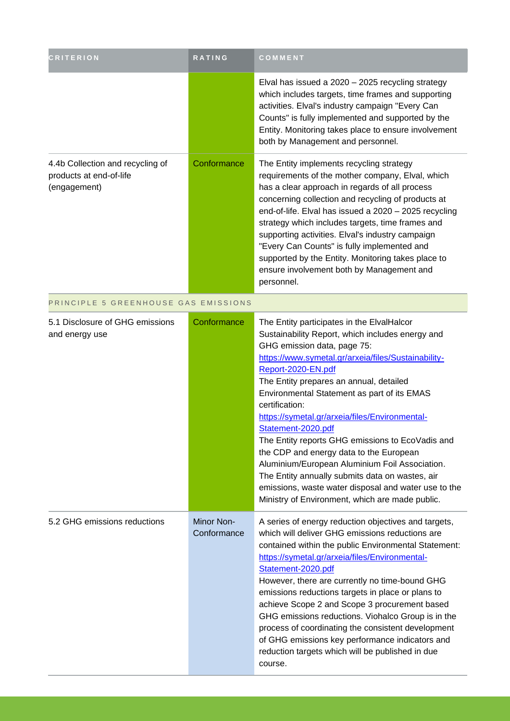| <b>CRITERION</b>                                                            | RATING                    | COMMENT                                                                                                                                                                                                                                                                                                                                                                                                                                                                                                                                                                                                                                                                                                       |
|-----------------------------------------------------------------------------|---------------------------|---------------------------------------------------------------------------------------------------------------------------------------------------------------------------------------------------------------------------------------------------------------------------------------------------------------------------------------------------------------------------------------------------------------------------------------------------------------------------------------------------------------------------------------------------------------------------------------------------------------------------------------------------------------------------------------------------------------|
|                                                                             |                           | Elval has issued a 2020 - 2025 recycling strategy<br>which includes targets, time frames and supporting<br>activities. Elval's industry campaign "Every Can<br>Counts" is fully implemented and supported by the<br>Entity. Monitoring takes place to ensure involvement<br>both by Management and personnel.                                                                                                                                                                                                                                                                                                                                                                                                 |
| 4.4b Collection and recycling of<br>products at end-of-life<br>(engagement) | Conformance               | The Entity implements recycling strategy<br>requirements of the mother company, Elval, which<br>has a clear approach in regards of all process<br>concerning collection and recycling of products at<br>end-of-life. Elval has issued a 2020 - 2025 recycling<br>strategy which includes targets, time frames and<br>supporting activities. Elval's industry campaign<br>"Every Can Counts" is fully implemented and<br>supported by the Entity. Monitoring takes place to<br>ensure involvement both by Management and<br>personnel.                                                                                                                                                                         |
| PRINCIPLE 5 GREENHOUSE GAS EMISSIONS                                        |                           |                                                                                                                                                                                                                                                                                                                                                                                                                                                                                                                                                                                                                                                                                                               |
| 5.1 Disclosure of GHG emissions<br>and energy use                           | Conformance               | The Entity participates in the ElvalHalcor<br>Sustainability Report, which includes energy and<br>GHG emission data, page 75:<br>https://www.symetal.gr/arxeia/files/Sustainability-<br>Report-2020-EN.pdf<br>The Entity prepares an annual, detailed<br>Environmental Statement as part of its EMAS<br>certification:<br>https://symetal.gr/arxeia/files/Environmental-<br>Statement-2020.pdf<br>The Entity reports GHG emissions to EcoVadis and<br>the CDP and energy data to the European<br>Aluminium/European Aluminium Foil Association.<br>The Entity annually submits data on wastes, air<br>emissions, waste water disposal and water use to the<br>Ministry of Environment, which are made public. |
| 5.2 GHG emissions reductions                                                | Minor Non-<br>Conformance | A series of energy reduction objectives and targets,<br>which will deliver GHG emissions reductions are<br>contained within the public Environmental Statement:<br>https://symetal.gr/arxeia/files/Environmental-<br>Statement-2020.pdf<br>However, there are currently no time-bound GHG<br>emissions reductions targets in place or plans to<br>achieve Scope 2 and Scope 3 procurement based<br>GHG emissions reductions. Viohalco Group is in the<br>process of coordinating the consistent development<br>of GHG emissions key performance indicators and<br>reduction targets which will be published in due<br>course.                                                                                 |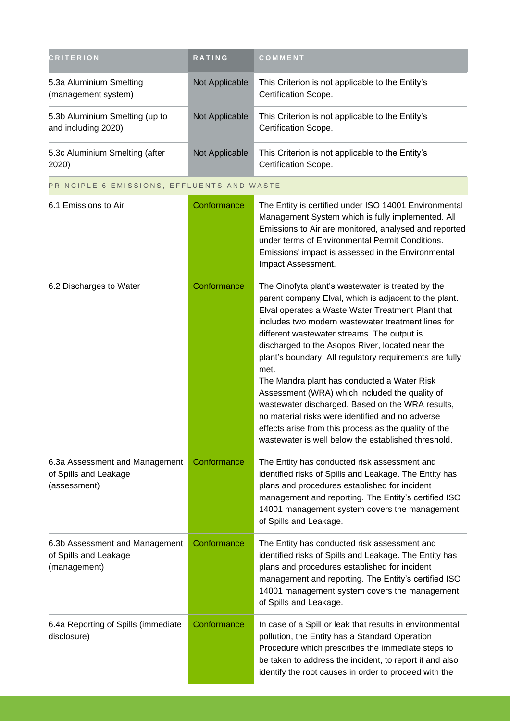| <b>CRITERION</b>                                                        | RATING         | COMMENT                                                                                                                                                                                                                                                                                                                                                                                                                                                                                                                                                                                                                                                                                                              |
|-------------------------------------------------------------------------|----------------|----------------------------------------------------------------------------------------------------------------------------------------------------------------------------------------------------------------------------------------------------------------------------------------------------------------------------------------------------------------------------------------------------------------------------------------------------------------------------------------------------------------------------------------------------------------------------------------------------------------------------------------------------------------------------------------------------------------------|
| 5.3a Aluminium Smelting<br>(management system)                          | Not Applicable | This Criterion is not applicable to the Entity's<br>Certification Scope.                                                                                                                                                                                                                                                                                                                                                                                                                                                                                                                                                                                                                                             |
| 5.3b Aluminium Smelting (up to<br>and including 2020)                   | Not Applicable | This Criterion is not applicable to the Entity's<br>Certification Scope.                                                                                                                                                                                                                                                                                                                                                                                                                                                                                                                                                                                                                                             |
| 5.3c Aluminium Smelting (after<br>2020)                                 | Not Applicable | This Criterion is not applicable to the Entity's<br>Certification Scope.                                                                                                                                                                                                                                                                                                                                                                                                                                                                                                                                                                                                                                             |
| PRINCIPLE 6 EMISSIONS, EFFLUENTS AND WASTE                              |                |                                                                                                                                                                                                                                                                                                                                                                                                                                                                                                                                                                                                                                                                                                                      |
| 6.1 Emissions to Air                                                    | Conformance    | The Entity is certified under ISO 14001 Environmental<br>Management System which is fully implemented. All<br>Emissions to Air are monitored, analysed and reported<br>under terms of Environmental Permit Conditions.<br>Emissions' impact is assessed in the Environmental<br>Impact Assessment.                                                                                                                                                                                                                                                                                                                                                                                                                   |
| 6.2 Discharges to Water                                                 | Conformance    | The Oinofyta plant's wastewater is treated by the<br>parent company Elval, which is adjacent to the plant.<br>Elval operates a Waste Water Treatment Plant that<br>includes two modern wastewater treatment lines for<br>different wastewater streams. The output is<br>discharged to the Asopos River, located near the<br>plant's boundary. All regulatory requirements are fully<br>met.<br>The Mandra plant has conducted a Water Risk<br>Assessment (WRA) which included the quality of<br>wastewater discharged. Based on the WRA results,<br>no material risks were identified and no adverse<br>effects arise from this process as the quality of the<br>wastewater is well below the established threshold. |
| 6.3a Assessment and Management<br>of Spills and Leakage<br>(assessment) | Conformance    | The Entity has conducted risk assessment and<br>identified risks of Spills and Leakage. The Entity has<br>plans and procedures established for incident<br>management and reporting. The Entity's certified ISO<br>14001 management system covers the management<br>of Spills and Leakage.                                                                                                                                                                                                                                                                                                                                                                                                                           |
| 6.3b Assessment and Management<br>of Spills and Leakage<br>(management) | Conformance    | The Entity has conducted risk assessment and<br>identified risks of Spills and Leakage. The Entity has<br>plans and procedures established for incident<br>management and reporting. The Entity's certified ISO<br>14001 management system covers the management<br>of Spills and Leakage.                                                                                                                                                                                                                                                                                                                                                                                                                           |
| 6.4a Reporting of Spills (immediate<br>disclosure)                      | Conformance    | In case of a Spill or leak that results in environmental<br>pollution, the Entity has a Standard Operation<br>Procedure which prescribes the immediate steps to<br>be taken to address the incident, to report it and also<br>identify the root causes in order to proceed with the                                                                                                                                                                                                                                                                                                                                                                                                                                  |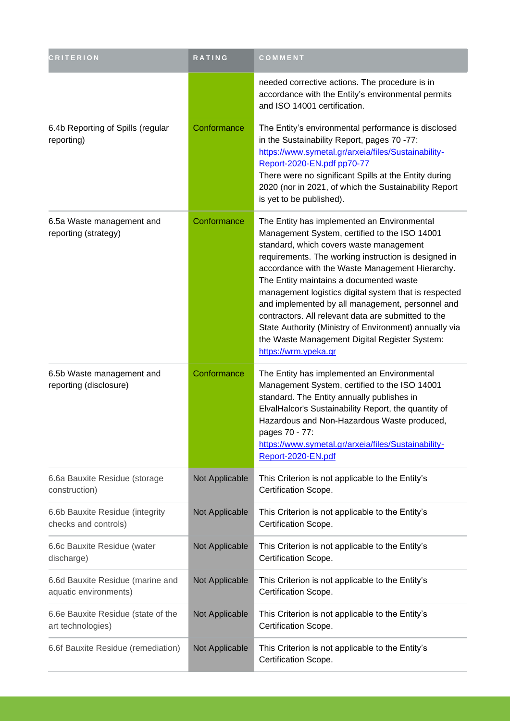| <b>CRITERION</b>                                          | RATING         | COMMENT                                                                                                                                                                                                                                                                                                                                                                                                                                                                                                                                                                                              |
|-----------------------------------------------------------|----------------|------------------------------------------------------------------------------------------------------------------------------------------------------------------------------------------------------------------------------------------------------------------------------------------------------------------------------------------------------------------------------------------------------------------------------------------------------------------------------------------------------------------------------------------------------------------------------------------------------|
|                                                           |                | needed corrective actions. The procedure is in<br>accordance with the Entity's environmental permits<br>and ISO 14001 certification.                                                                                                                                                                                                                                                                                                                                                                                                                                                                 |
| 6.4b Reporting of Spills (regular<br>reporting)           | Conformance    | The Entity's environmental performance is disclosed<br>in the Sustainability Report, pages 70 -77:<br>https://www.symetal.gr/arxeia/files/Sustainability-<br>Report-2020-EN.pdf pp70-77<br>There were no significant Spills at the Entity during<br>2020 (nor in 2021, of which the Sustainability Report<br>is yet to be published).                                                                                                                                                                                                                                                                |
| 6.5a Waste management and<br>reporting (strategy)         | Conformance    | The Entity has implemented an Environmental<br>Management System, certified to the ISO 14001<br>standard, which covers waste management<br>requirements. The working instruction is designed in<br>accordance with the Waste Management Hierarchy.<br>The Entity maintains a documented waste<br>management logistics digital system that is respected<br>and implemented by all management, personnel and<br>contractors. All relevant data are submitted to the<br>State Authority (Ministry of Environment) annually via<br>the Waste Management Digital Register System:<br>https://wrm.ypeka.gr |
| 6.5b Waste management and<br>reporting (disclosure)       | Conformance    | The Entity has implemented an Environmental<br>Management System, certified to the ISO 14001<br>standard. The Entity annually publishes in<br>ElvalHalcor's Sustainability Report, the quantity of<br>Hazardous and Non-Hazardous Waste produced,<br>pages 70 - 77:<br>https://www.symetal.gr/arxeia/files/Sustainability-<br>Report-2020-EN.pdf                                                                                                                                                                                                                                                     |
| 6.6a Bauxite Residue (storage<br>construction)            | Not Applicable | This Criterion is not applicable to the Entity's<br>Certification Scope.                                                                                                                                                                                                                                                                                                                                                                                                                                                                                                                             |
| 6.6b Bauxite Residue (integrity<br>checks and controls)   | Not Applicable | This Criterion is not applicable to the Entity's<br>Certification Scope.                                                                                                                                                                                                                                                                                                                                                                                                                                                                                                                             |
| 6.6c Bauxite Residue (water<br>discharge)                 | Not Applicable | This Criterion is not applicable to the Entity's<br>Certification Scope.                                                                                                                                                                                                                                                                                                                                                                                                                                                                                                                             |
| 6.6d Bauxite Residue (marine and<br>aquatic environments) | Not Applicable | This Criterion is not applicable to the Entity's<br>Certification Scope.                                                                                                                                                                                                                                                                                                                                                                                                                                                                                                                             |
| 6.6e Bauxite Residue (state of the<br>art technologies)   | Not Applicable | This Criterion is not applicable to the Entity's<br>Certification Scope.                                                                                                                                                                                                                                                                                                                                                                                                                                                                                                                             |
| 6.6f Bauxite Residue (remediation)                        | Not Applicable | This Criterion is not applicable to the Entity's<br>Certification Scope.                                                                                                                                                                                                                                                                                                                                                                                                                                                                                                                             |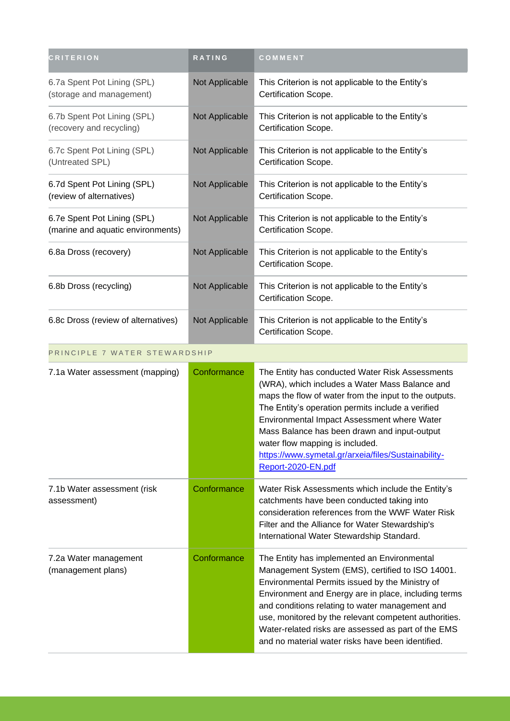| <b>CRITERION</b>                                                 | RATING         | COMMENT                                                                                                                                                                                                                                                                                                                                                                                                                            |
|------------------------------------------------------------------|----------------|------------------------------------------------------------------------------------------------------------------------------------------------------------------------------------------------------------------------------------------------------------------------------------------------------------------------------------------------------------------------------------------------------------------------------------|
| 6.7a Spent Pot Lining (SPL)<br>(storage and management)          | Not Applicable | This Criterion is not applicable to the Entity's<br>Certification Scope.                                                                                                                                                                                                                                                                                                                                                           |
| 6.7b Spent Pot Lining (SPL)<br>(recovery and recycling)          | Not Applicable | This Criterion is not applicable to the Entity's<br>Certification Scope.                                                                                                                                                                                                                                                                                                                                                           |
| 6.7c Spent Pot Lining (SPL)<br>(Untreated SPL)                   | Not Applicable | This Criterion is not applicable to the Entity's<br>Certification Scope.                                                                                                                                                                                                                                                                                                                                                           |
| 6.7d Spent Pot Lining (SPL)<br>(review of alternatives)          | Not Applicable | This Criterion is not applicable to the Entity's<br>Certification Scope.                                                                                                                                                                                                                                                                                                                                                           |
| 6.7e Spent Pot Lining (SPL)<br>(marine and aquatic environments) | Not Applicable | This Criterion is not applicable to the Entity's<br>Certification Scope.                                                                                                                                                                                                                                                                                                                                                           |
| 6.8a Dross (recovery)                                            | Not Applicable | This Criterion is not applicable to the Entity's<br>Certification Scope.                                                                                                                                                                                                                                                                                                                                                           |
| 6.8b Dross (recycling)                                           | Not Applicable | This Criterion is not applicable to the Entity's<br>Certification Scope.                                                                                                                                                                                                                                                                                                                                                           |
| 6.8c Dross (review of alternatives)                              | Not Applicable | This Criterion is not applicable to the Entity's<br>Certification Scope.                                                                                                                                                                                                                                                                                                                                                           |
| PRINCIPLE 7 WATER STEWARDSHIP                                    |                |                                                                                                                                                                                                                                                                                                                                                                                                                                    |
| 7.1a Water assessment (mapping)                                  | Conformance    | The Entity has conducted Water Risk Assessments<br>(WRA), which includes a Water Mass Balance and<br>maps the flow of water from the input to the outputs.<br>The Entity's operation permits include a verified<br>Environmental Impact Assessment where Water<br>Mass Balance has been drawn and input-output<br>water flow mapping is included.<br>https://www.symetal.gr/arxeia/files/Sustainability-<br>Report-2020-EN.pdf     |
| 7.1b Water assessment (risk<br>assessment)                       | Conformance    | Water Risk Assessments which include the Entity's<br>catchments have been conducted taking into<br>consideration references from the WWF Water Risk<br>Filter and the Alliance for Water Stewardship's<br>International Water Stewardship Standard.                                                                                                                                                                                |
| 7.2a Water management<br>(management plans)                      | Conformance    | The Entity has implemented an Environmental<br>Management System (EMS), certified to ISO 14001.<br>Environmental Permits issued by the Ministry of<br>Environment and Energy are in place, including terms<br>and conditions relating to water management and<br>use, monitored by the relevant competent authorities.<br>Water-related risks are assessed as part of the EMS<br>and no material water risks have been identified. |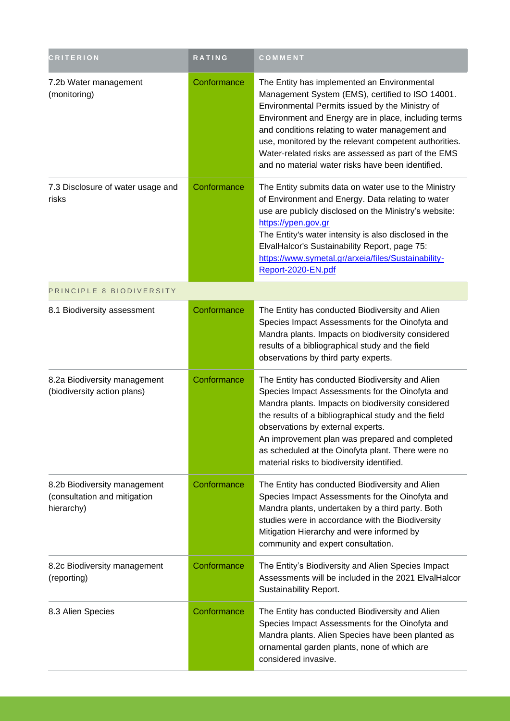| <b>CRITERION</b>                                                           | <b>RATING</b> | COMMENT                                                                                                                                                                                                                                                                                                                                                                                                                            |
|----------------------------------------------------------------------------|---------------|------------------------------------------------------------------------------------------------------------------------------------------------------------------------------------------------------------------------------------------------------------------------------------------------------------------------------------------------------------------------------------------------------------------------------------|
| 7.2b Water management<br>(monitoring)                                      | Conformance   | The Entity has implemented an Environmental<br>Management System (EMS), certified to ISO 14001.<br>Environmental Permits issued by the Ministry of<br>Environment and Energy are in place, including terms<br>and conditions relating to water management and<br>use, monitored by the relevant competent authorities.<br>Water-related risks are assessed as part of the EMS<br>and no material water risks have been identified. |
| 7.3 Disclosure of water usage and<br>risks                                 | Conformance   | The Entity submits data on water use to the Ministry<br>of Environment and Energy. Data relating to water<br>use are publicly disclosed on the Ministry's website:<br>https://ypen.gov.gr<br>The Entity's water intensity is also disclosed in the<br>ElvalHalcor's Sustainability Report, page 75:<br>https://www.symetal.gr/arxeia/files/Sustainability-<br>Report-2020-EN.pdf                                                   |
| PRINCIPLE 8 BIODIVERSITY                                                   |               |                                                                                                                                                                                                                                                                                                                                                                                                                                    |
| 8.1 Biodiversity assessment                                                | Conformance   | The Entity has conducted Biodiversity and Alien<br>Species Impact Assessments for the Oinofyta and<br>Mandra plants. Impacts on biodiversity considered<br>results of a bibliographical study and the field<br>observations by third party experts.                                                                                                                                                                                |
| 8.2a Biodiversity management<br>(biodiversity action plans)                | Conformance   | The Entity has conducted Biodiversity and Alien<br>Species Impact Assessments for the Oinofyta and<br>Mandra plants. Impacts on biodiversity considered<br>the results of a bibliographical study and the field<br>observations by external experts.<br>An improvement plan was prepared and completed<br>as scheduled at the Oinofyta plant. There were no<br>material risks to biodiversity identified.                          |
| 8.2b Biodiversity management<br>(consultation and mitigation<br>hierarchy) | Conformance   | The Entity has conducted Biodiversity and Alien<br>Species Impact Assessments for the Oinofyta and<br>Mandra plants, undertaken by a third party. Both<br>studies were in accordance with the Biodiversity<br>Mitigation Hierarchy and were informed by<br>community and expert consultation.                                                                                                                                      |
| 8.2c Biodiversity management<br>(reporting)                                | Conformance   | The Entity's Biodiversity and Alien Species Impact<br>Assessments will be included in the 2021 ElvalHalcor<br>Sustainability Report.                                                                                                                                                                                                                                                                                               |
| 8.3 Alien Species                                                          | Conformance   | The Entity has conducted Biodiversity and Alien<br>Species Impact Assessments for the Oinofyta and<br>Mandra plants. Alien Species have been planted as<br>ornamental garden plants, none of which are<br>considered invasive.                                                                                                                                                                                                     |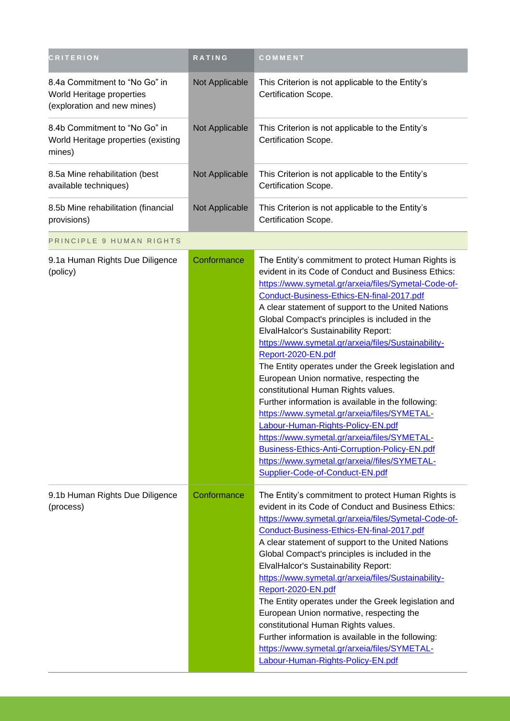| <b>CRITERION</b>                                                                          | RATING         | COMMENT                                                                                                                                                                                                                                                                                                                                                                                                                                                                                                                                                                                                                                                                                                                                                                                                                                                                                                                      |
|-------------------------------------------------------------------------------------------|----------------|------------------------------------------------------------------------------------------------------------------------------------------------------------------------------------------------------------------------------------------------------------------------------------------------------------------------------------------------------------------------------------------------------------------------------------------------------------------------------------------------------------------------------------------------------------------------------------------------------------------------------------------------------------------------------------------------------------------------------------------------------------------------------------------------------------------------------------------------------------------------------------------------------------------------------|
| 8.4a Commitment to "No Go" in<br>World Heritage properties<br>(exploration and new mines) | Not Applicable | This Criterion is not applicable to the Entity's<br>Certification Scope.                                                                                                                                                                                                                                                                                                                                                                                                                                                                                                                                                                                                                                                                                                                                                                                                                                                     |
| 8.4b Commitment to "No Go" in<br>World Heritage properties (existing<br>mines)            | Not Applicable | This Criterion is not applicable to the Entity's<br>Certification Scope.                                                                                                                                                                                                                                                                                                                                                                                                                                                                                                                                                                                                                                                                                                                                                                                                                                                     |
| 8.5a Mine rehabilitation (best<br>available techniques)                                   | Not Applicable | This Criterion is not applicable to the Entity's<br>Certification Scope.                                                                                                                                                                                                                                                                                                                                                                                                                                                                                                                                                                                                                                                                                                                                                                                                                                                     |
| 8.5b Mine rehabilitation (financial<br>provisions)                                        | Not Applicable | This Criterion is not applicable to the Entity's<br>Certification Scope.                                                                                                                                                                                                                                                                                                                                                                                                                                                                                                                                                                                                                                                                                                                                                                                                                                                     |
| PRINCIPLE 9 HUMAN RIGHTS                                                                  |                |                                                                                                                                                                                                                                                                                                                                                                                                                                                                                                                                                                                                                                                                                                                                                                                                                                                                                                                              |
| 9.1a Human Rights Due Diligence<br>(policy)                                               | Conformance    | The Entity's commitment to protect Human Rights is<br>evident in its Code of Conduct and Business Ethics:<br>https://www.symetal.gr/arxeia/files/Symetal-Code-of-<br>Conduct-Business-Ethics-EN-final-2017.pdf<br>A clear statement of support to the United Nations<br>Global Compact's principles is included in the<br><b>ElvalHalcor's Sustainability Report:</b><br>https://www.symetal.gr/arxeia/files/Sustainability-<br>Report-2020-EN.pdf<br>The Entity operates under the Greek legislation and<br>European Union normative, respecting the<br>constitutional Human Rights values.<br>Further information is available in the following:<br>https://www.symetal.gr/arxeia/files/SYMETAL-<br>Labour-Human-Rights-Policy-EN.pdf<br>https://www.symetal.gr/arxeia/files/SYMETAL-<br>Business-Ethics-Anti-Corruption-Policy-EN.pdf<br>https://www.symetal.gr/arxeia//files/SYMETAL-<br>Supplier-Code-of-Conduct-EN.pdf |
| 9.1b Human Rights Due Diligence<br>(process)                                              | Conformance    | The Entity's commitment to protect Human Rights is<br>evident in its Code of Conduct and Business Ethics:<br>https://www.symetal.gr/arxeia/files/Symetal-Code-of-<br>Conduct-Business-Ethics-EN-final-2017.pdf<br>A clear statement of support to the United Nations<br>Global Compact's principles is included in the<br><b>ElvalHalcor's Sustainability Report:</b><br>https://www.symetal.gr/arxeia/files/Sustainability-<br>Report-2020-EN.pdf<br>The Entity operates under the Greek legislation and<br>European Union normative, respecting the<br>constitutional Human Rights values.<br>Further information is available in the following:<br>https://www.symetal.gr/arxeia/files/SYMETAL-<br>Labour-Human-Rights-Policy-EN.pdf                                                                                                                                                                                      |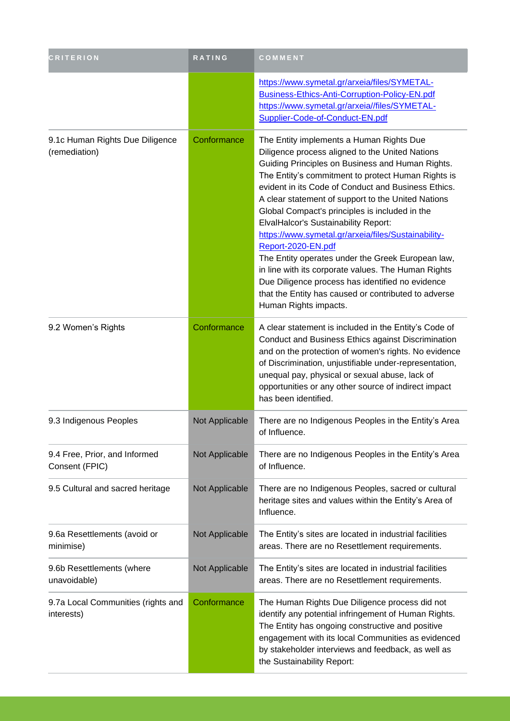| <b>CRITERION</b>                                 | <b>RATING</b>  | COMMENT                                                                                                                                                                                                                                                                                                                                                                                                                                                                                                                                                                                                                                                                                                                                           |
|--------------------------------------------------|----------------|---------------------------------------------------------------------------------------------------------------------------------------------------------------------------------------------------------------------------------------------------------------------------------------------------------------------------------------------------------------------------------------------------------------------------------------------------------------------------------------------------------------------------------------------------------------------------------------------------------------------------------------------------------------------------------------------------------------------------------------------------|
|                                                  |                | https://www.symetal.gr/arxeia/files/SYMETAL-<br>Business-Ethics-Anti-Corruption-Policy-EN.pdf<br>https://www.symetal.gr/arxeia//files/SYMETAL-<br>Supplier-Code-of-Conduct-EN.pdf                                                                                                                                                                                                                                                                                                                                                                                                                                                                                                                                                                 |
| 9.1c Human Rights Due Diligence<br>(remediation) | Conformance    | The Entity implements a Human Rights Due<br>Diligence process aligned to the United Nations<br>Guiding Principles on Business and Human Rights.<br>The Entity's commitment to protect Human Rights is<br>evident in its Code of Conduct and Business Ethics.<br>A clear statement of support to the United Nations<br>Global Compact's principles is included in the<br><b>ElvalHalcor's Sustainability Report:</b><br>https://www.symetal.gr/arxeia/files/Sustainability-<br>Report-2020-EN.pdf<br>The Entity operates under the Greek European law,<br>in line with its corporate values. The Human Rights<br>Due Diligence process has identified no evidence<br>that the Entity has caused or contributed to adverse<br>Human Rights impacts. |
| 9.2 Women's Rights                               | Conformance    | A clear statement is included in the Entity's Code of<br>Conduct and Business Ethics against Discrimination<br>and on the protection of women's rights. No evidence<br>of Discrimination, unjustifiable under-representation,<br>unequal pay, physical or sexual abuse, lack of<br>opportunities or any other source of indirect impact<br>has been identified.                                                                                                                                                                                                                                                                                                                                                                                   |
| 9.3 Indigenous Peoples                           | Not Applicable | There are no Indigenous Peoples in the Entity's Area<br>of Influence.                                                                                                                                                                                                                                                                                                                                                                                                                                                                                                                                                                                                                                                                             |
| 9.4 Free, Prior, and Informed<br>Consent (FPIC)  | Not Applicable | There are no Indigenous Peoples in the Entity's Area<br>of Influence.                                                                                                                                                                                                                                                                                                                                                                                                                                                                                                                                                                                                                                                                             |
| 9.5 Cultural and sacred heritage                 | Not Applicable | There are no Indigenous Peoples, sacred or cultural<br>heritage sites and values within the Entity's Area of<br>Influence.                                                                                                                                                                                                                                                                                                                                                                                                                                                                                                                                                                                                                        |
| 9.6a Resettlements (avoid or<br>minimise)        | Not Applicable | The Entity's sites are located in industrial facilities<br>areas. There are no Resettlement requirements.                                                                                                                                                                                                                                                                                                                                                                                                                                                                                                                                                                                                                                         |
| 9.6b Resettlements (where<br>unavoidable)        | Not Applicable | The Entity's sites are located in industrial facilities<br>areas. There are no Resettlement requirements.                                                                                                                                                                                                                                                                                                                                                                                                                                                                                                                                                                                                                                         |
| 9.7a Local Communities (rights and<br>interests) | Conformance    | The Human Rights Due Diligence process did not<br>identify any potential infringement of Human Rights.<br>The Entity has ongoing constructive and positive<br>engagement with its local Communities as evidenced<br>by stakeholder interviews and feedback, as well as<br>the Sustainability Report:                                                                                                                                                                                                                                                                                                                                                                                                                                              |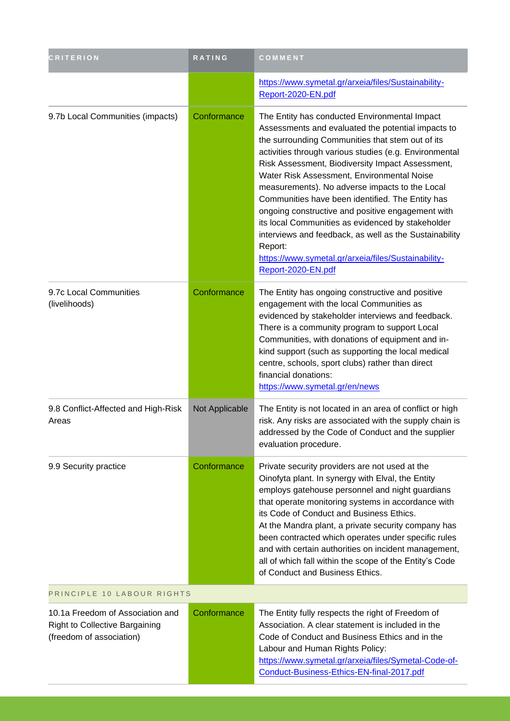| <b>CRITERION</b>                                                                                      | RATING         | COMMENT                                                                                                                                                                                                                                                                                                                                                                                                                                                                                                                                                                                                                                                                               |
|-------------------------------------------------------------------------------------------------------|----------------|---------------------------------------------------------------------------------------------------------------------------------------------------------------------------------------------------------------------------------------------------------------------------------------------------------------------------------------------------------------------------------------------------------------------------------------------------------------------------------------------------------------------------------------------------------------------------------------------------------------------------------------------------------------------------------------|
|                                                                                                       |                | https://www.symetal.gr/arxeia/files/Sustainability-<br>Report-2020-EN.pdf                                                                                                                                                                                                                                                                                                                                                                                                                                                                                                                                                                                                             |
| 9.7b Local Communities (impacts)                                                                      | Conformance    | The Entity has conducted Environmental Impact<br>Assessments and evaluated the potential impacts to<br>the surrounding Communities that stem out of its<br>activities through various studies (e.g. Environmental<br>Risk Assessment, Biodiversity Impact Assessment,<br>Water Risk Assessment, Environmental Noise<br>measurements). No adverse impacts to the Local<br>Communities have been identified. The Entity has<br>ongoing constructive and positive engagement with<br>its local Communities as evidenced by stakeholder<br>interviews and feedback, as well as the Sustainability<br>Report:<br>https://www.symetal.gr/arxeia/files/Sustainability-<br>Report-2020-EN.pdf |
| 9.7c Local Communities<br>(livelihoods)                                                               | Conformance    | The Entity has ongoing constructive and positive<br>engagement with the local Communities as<br>evidenced by stakeholder interviews and feedback.<br>There is a community program to support Local<br>Communities, with donations of equipment and in-<br>kind support (such as supporting the local medical<br>centre, schools, sport clubs) rather than direct<br>financial donations:<br>https://www.symetal.gr/en/news                                                                                                                                                                                                                                                            |
| 9.8 Conflict-Affected and High-Risk<br>Areas                                                          | Not Applicable | The Entity is not located in an area of conflict or high<br>risk. Any risks are associated with the supply chain is<br>addressed by the Code of Conduct and the supplier<br>evaluation procedure.                                                                                                                                                                                                                                                                                                                                                                                                                                                                                     |
| 9.9 Security practice                                                                                 | Conformance    | Private security providers are not used at the<br>Oinofyta plant. In synergy with Elval, the Entity<br>employs gatehouse personnel and night guardians<br>that operate monitoring systems in accordance with<br>its Code of Conduct and Business Ethics.<br>At the Mandra plant, a private security company has<br>been contracted which operates under specific rules<br>and with certain authorities on incident management,<br>all of which fall within the scope of the Entity's Code<br>of Conduct and Business Ethics.                                                                                                                                                          |
| PRINCIPLE 10 LABOUR RIGHTS                                                                            |                |                                                                                                                                                                                                                                                                                                                                                                                                                                                                                                                                                                                                                                                                                       |
| 10.1a Freedom of Association and<br><b>Right to Collective Bargaining</b><br>(freedom of association) | Conformance    | The Entity fully respects the right of Freedom of<br>Association. A clear statement is included in the<br>Code of Conduct and Business Ethics and in the<br>Labour and Human Rights Policy:<br>https://www.symetal.gr/arxeia/files/Symetal-Code-of-<br>Conduct-Business-Ethics-EN-final-2017.pdf                                                                                                                                                                                                                                                                                                                                                                                      |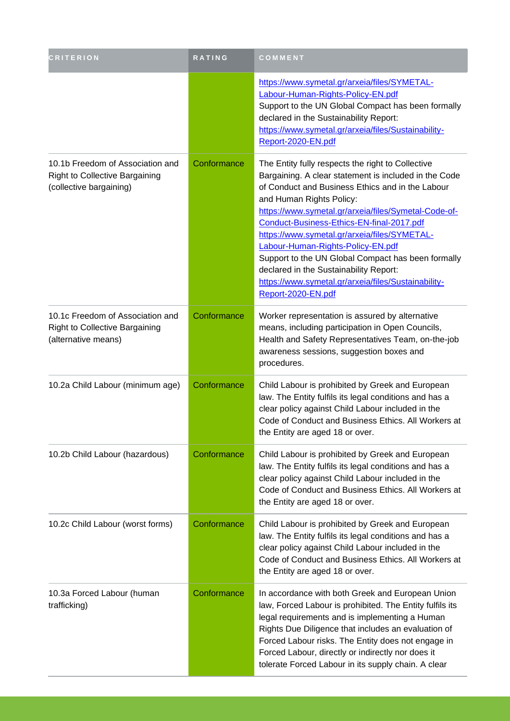| <b>CRITERION</b>                                                                                 | RATING      | COMMENT                                                                                                                                                                                                                                                                                                                                                                                                                                                                                                                                                           |
|--------------------------------------------------------------------------------------------------|-------------|-------------------------------------------------------------------------------------------------------------------------------------------------------------------------------------------------------------------------------------------------------------------------------------------------------------------------------------------------------------------------------------------------------------------------------------------------------------------------------------------------------------------------------------------------------------------|
|                                                                                                  |             | https://www.symetal.gr/arxeia/files/SYMETAL-<br>Labour-Human-Rights-Policy-EN.pdf<br>Support to the UN Global Compact has been formally<br>declared in the Sustainability Report:<br>https://www.symetal.gr/arxeia/files/Sustainability-<br>Report-2020-EN.pdf                                                                                                                                                                                                                                                                                                    |
| 10.1b Freedom of Association and<br>Right to Collective Bargaining<br>(collective bargaining)    | Conformance | The Entity fully respects the right to Collective<br>Bargaining. A clear statement is included in the Code<br>of Conduct and Business Ethics and in the Labour<br>and Human Rights Policy:<br>https://www.symetal.gr/arxeia/files/Symetal-Code-of-<br>Conduct-Business-Ethics-EN-final-2017.pdf<br>https://www.symetal.gr/arxeia/files/SYMETAL-<br>Labour-Human-Rights-Policy-EN.pdf<br>Support to the UN Global Compact has been formally<br>declared in the Sustainability Report:<br>https://www.symetal.gr/arxeia/files/Sustainability-<br>Report-2020-EN.pdf |
| 10.1c Freedom of Association and<br><b>Right to Collective Bargaining</b><br>(alternative means) | Conformance | Worker representation is assured by alternative<br>means, including participation in Open Councils,<br>Health and Safety Representatives Team, on-the-job<br>awareness sessions, suggestion boxes and<br>procedures.                                                                                                                                                                                                                                                                                                                                              |
| 10.2a Child Labour (minimum age)                                                                 | Conformance | Child Labour is prohibited by Greek and European<br>law. The Entity fulfils its legal conditions and has a<br>clear policy against Child Labour included in the<br>Code of Conduct and Business Ethics. All Workers at<br>the Entity are aged 18 or over.                                                                                                                                                                                                                                                                                                         |
| 10.2b Child Labour (hazardous)                                                                   | Conformance | Child Labour is prohibited by Greek and European<br>law. The Entity fulfils its legal conditions and has a<br>clear policy against Child Labour included in the<br>Code of Conduct and Business Ethics. All Workers at<br>the Entity are aged 18 or over.                                                                                                                                                                                                                                                                                                         |
| 10.2c Child Labour (worst forms)                                                                 | Conformance | Child Labour is prohibited by Greek and European<br>law. The Entity fulfils its legal conditions and has a<br>clear policy against Child Labour included in the<br>Code of Conduct and Business Ethics. All Workers at<br>the Entity are aged 18 or over.                                                                                                                                                                                                                                                                                                         |
| 10.3a Forced Labour (human<br>trafficking)                                                       | Conformance | In accordance with both Greek and European Union<br>law, Forced Labour is prohibited. The Entity fulfils its<br>legal requirements and is implementing a Human<br>Rights Due Diligence that includes an evaluation of<br>Forced Labour risks. The Entity does not engage in<br>Forced Labour, directly or indirectly nor does it<br>tolerate Forced Labour in its supply chain. A clear                                                                                                                                                                           |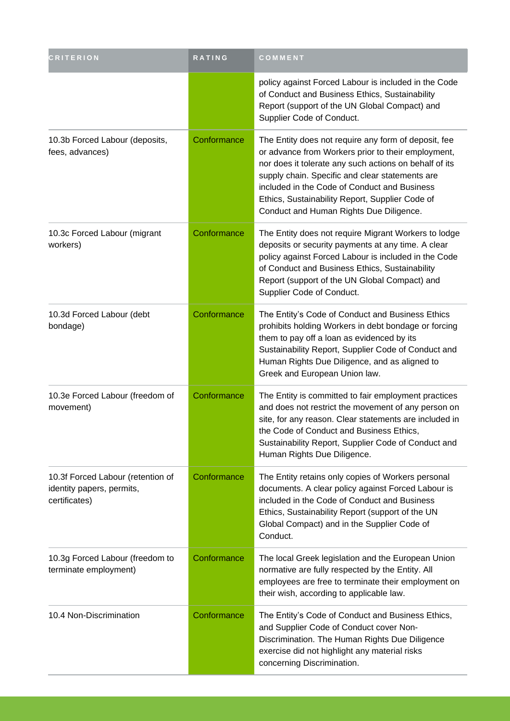| <b>CRITERION</b>                                                                | RATING      | COMMENT                                                                                                                                                                                                                                                                                                                                                               |
|---------------------------------------------------------------------------------|-------------|-----------------------------------------------------------------------------------------------------------------------------------------------------------------------------------------------------------------------------------------------------------------------------------------------------------------------------------------------------------------------|
|                                                                                 |             | policy against Forced Labour is included in the Code<br>of Conduct and Business Ethics, Sustainability<br>Report (support of the UN Global Compact) and<br>Supplier Code of Conduct.                                                                                                                                                                                  |
| 10.3b Forced Labour (deposits,<br>fees, advances)                               | Conformance | The Entity does not require any form of deposit, fee<br>or advance from Workers prior to their employment,<br>nor does it tolerate any such actions on behalf of its<br>supply chain. Specific and clear statements are<br>included in the Code of Conduct and Business<br>Ethics, Sustainability Report, Supplier Code of<br>Conduct and Human Rights Due Diligence. |
| 10.3c Forced Labour (migrant<br>workers)                                        | Conformance | The Entity does not require Migrant Workers to lodge<br>deposits or security payments at any time. A clear<br>policy against Forced Labour is included in the Code<br>of Conduct and Business Ethics, Sustainability<br>Report (support of the UN Global Compact) and<br>Supplier Code of Conduct.                                                                    |
| 10.3d Forced Labour (debt<br>bondage)                                           | Conformance | The Entity's Code of Conduct and Business Ethics<br>prohibits holding Workers in debt bondage or forcing<br>them to pay off a loan as evidenced by its<br>Sustainability Report, Supplier Code of Conduct and<br>Human Rights Due Diligence, and as aligned to<br>Greek and European Union law.                                                                       |
| 10.3e Forced Labour (freedom of<br>movement)                                    | Conformance | The Entity is committed to fair employment practices<br>and does not restrict the movement of any person on<br>site, for any reason. Clear statements are included in<br>the Code of Conduct and Business Ethics,<br>Sustainability Report, Supplier Code of Conduct and<br>Human Rights Due Diligence.                                                               |
| 10.3f Forced Labour (retention of<br>identity papers, permits,<br>certificates) | Conformance | The Entity retains only copies of Workers personal<br>documents. A clear policy against Forced Labour is<br>included in the Code of Conduct and Business<br>Ethics, Sustainability Report (support of the UN<br>Global Compact) and in the Supplier Code of<br>Conduct.                                                                                               |
| 10.3g Forced Labour (freedom to<br>terminate employment)                        | Conformance | The local Greek legislation and the European Union<br>normative are fully respected by the Entity. All<br>employees are free to terminate their employment on<br>their wish, according to applicable law.                                                                                                                                                             |
| 10.4 Non-Discrimination                                                         | Conformance | The Entity's Code of Conduct and Business Ethics,<br>and Supplier Code of Conduct cover Non-<br>Discrimination. The Human Rights Due Diligence<br>exercise did not highlight any material risks<br>concerning Discrimination.                                                                                                                                         |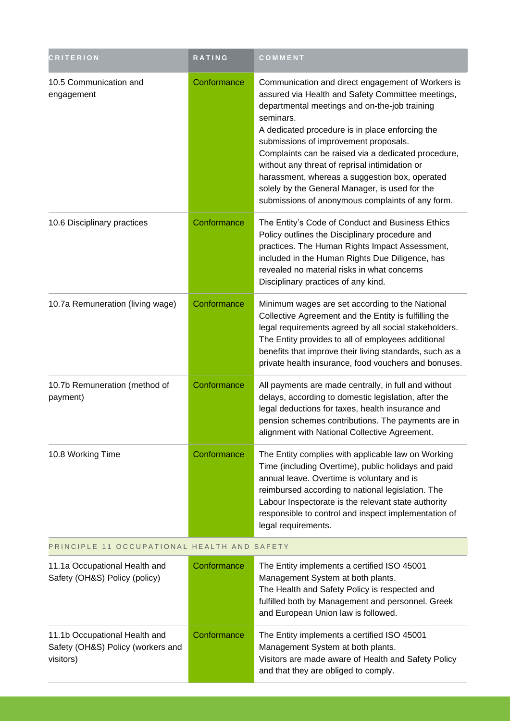| <b>CRITERION</b>                                                                | RATING      | COMMENT                                                                                                                                                                                                                                                                                                                                                                                                                                                                                                                           |
|---------------------------------------------------------------------------------|-------------|-----------------------------------------------------------------------------------------------------------------------------------------------------------------------------------------------------------------------------------------------------------------------------------------------------------------------------------------------------------------------------------------------------------------------------------------------------------------------------------------------------------------------------------|
| 10.5 Communication and<br>engagement                                            | Conformance | Communication and direct engagement of Workers is<br>assured via Health and Safety Committee meetings,<br>departmental meetings and on-the-job training<br>seminars.<br>A dedicated procedure is in place enforcing the<br>submissions of improvement proposals.<br>Complaints can be raised via a dedicated procedure,<br>without any threat of reprisal intimidation or<br>harassment, whereas a suggestion box, operated<br>solely by the General Manager, is used for the<br>submissions of anonymous complaints of any form. |
| 10.6 Disciplinary practices                                                     | Conformance | The Entity's Code of Conduct and Business Ethics<br>Policy outlines the Disciplinary procedure and<br>practices. The Human Rights Impact Assessment,<br>included in the Human Rights Due Diligence, has<br>revealed no material risks in what concerns<br>Disciplinary practices of any kind.                                                                                                                                                                                                                                     |
| 10.7a Remuneration (living wage)                                                | Conformance | Minimum wages are set according to the National<br>Collective Agreement and the Entity is fulfilling the<br>legal requirements agreed by all social stakeholders.<br>The Entity provides to all of employees additional<br>benefits that improve their living standards, such as a<br>private health insurance, food vouchers and bonuses.                                                                                                                                                                                        |
| 10.7b Remuneration (method of<br>payment)                                       | Conformance | All payments are made centrally, in full and without<br>delays, according to domestic legislation, after the<br>legal deductions for taxes, health insurance and<br>pension schemes contributions. The payments are in<br>alignment with National Collective Agreement.                                                                                                                                                                                                                                                           |
| 10.8 Working Time                                                               | Conformance | The Entity complies with applicable law on Working<br>Time (including Overtime), public holidays and paid<br>annual leave. Overtime is voluntary and is<br>reimbursed according to national legislation. The<br>Labour Inspectorate is the relevant state authority<br>responsible to control and inspect implementation of<br>legal requirements.                                                                                                                                                                                |
| PRINCIPLE 11 OCCUPATIONAL HEALTH AND SAFETY                                     |             |                                                                                                                                                                                                                                                                                                                                                                                                                                                                                                                                   |
| 11.1a Occupational Health and<br>Safety (OH&S) Policy (policy)                  | Conformance | The Entity implements a certified ISO 45001<br>Management System at both plants.<br>The Health and Safety Policy is respected and<br>fulfilled both by Management and personnel. Greek<br>and European Union law is followed.                                                                                                                                                                                                                                                                                                     |
| 11.1b Occupational Health and<br>Safety (OH&S) Policy (workers and<br>visitors) | Conformance | The Entity implements a certified ISO 45001<br>Management System at both plants.<br>Visitors are made aware of Health and Safety Policy<br>and that they are obliged to comply.                                                                                                                                                                                                                                                                                                                                                   |